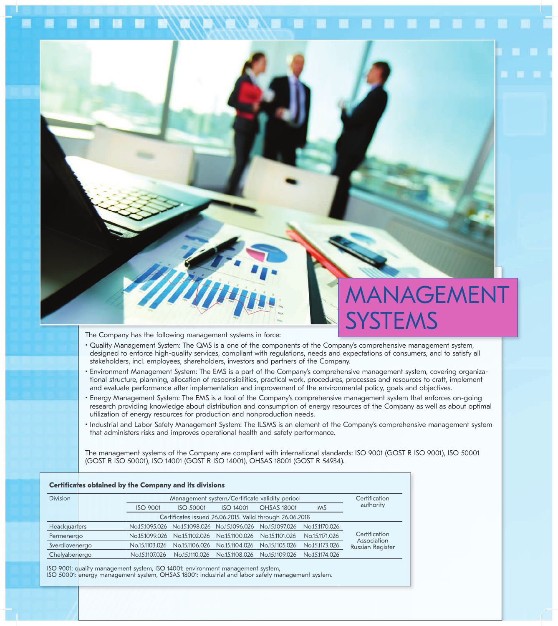## **NAGEMENT SYSTEMS**

The Company has the following management systems in force:

- Quality Management System: The QMS is a one of the components of the Company's comprehensive management system, designed to enforce high-quality services, compliant with regulations, needs and expectations of consumers, and to satisfy all stakeholders, incl. employees, shareholders, investors and partners of the Company.
- Environment Management System: The EMS is a part of the Company's comprehensive management system, covering organizational structure, planning, allocation of responsibilities, practical work, procedures, processes and resources to craft, implement and evaluate performance after implementation and improvement of the environmental policy, goals and objectives.
- Energy Management System: The EMS is a tool of the Company's comprehensive management system that enforces on-going research providing knowledge about distribution and consumption of energy resources of the Company as well as about optimal utilization of energy resources for production and nonproduction needs.
- Industrial and Labor Safety Management System: The ILSMS is an element of the Company's comprehensive management system that administers risks and improves operational health and safety performance.

The management systems of the Company are compliant with international standards: ISO 9001 (GOST R ISO 9001), ISO 50001 (GOST R ISO 50001), ISO 14001 (GOST R ISO 14001), OHSAS 18001 (GOST R 54934).

| <b>Certificates obtained by the Company and its divisions</b> |                                               |                  |                                              |                    |                |                                                  |
|---------------------------------------------------------------|-----------------------------------------------|------------------|----------------------------------------------|--------------------|----------------|--------------------------------------------------|
| <b>Division</b>                                               | Management system/Certificate validity period |                  |                                              |                    |                | Certification                                    |
|                                                               | <b>ISO 9001</b>                               | <b>ISO 50001</b> | ISO 14001                                    | <b>OHSAS 18001</b> | <b>IMS</b>     | authority                                        |
| Certificates issued 26.06.2015. Valid through 26.06.2018      |                                               |                  |                                              |                    |                |                                                  |
| <b>Headquarters</b>                                           | No.151095.026                                 |                  | No.15.1098.026 No.15.1096.026 No.15.1097.026 |                    | No.15.1170.026 | Certification<br>Association<br>Russian Register |
| Permenergo                                                    | No.151099.026                                 | No.15.1102.026   | No.15.1100.026                               | No.15.1101.026     | No.15.1171.026 |                                                  |
| Sverdlovenergo                                                | No.15.1103.026                                | No.15.1106.026   | No.15.1104.026                               | No.15.1105.026     | No.15.1173.026 |                                                  |
| Chelyabenergo                                                 | No.15.1107.026                                | No.15.1110.026   | No.15.1108.026                               | No.15.1109.026     | No.15.1174.026 |                                                  |
|                                                               |                                               |                  |                                              |                    |                |                                                  |

ISO 9001: quality management system, ISO 14001: environment management system, ISO 50001: energy management system, OHSAS 18001: industrial and labor safety management system.